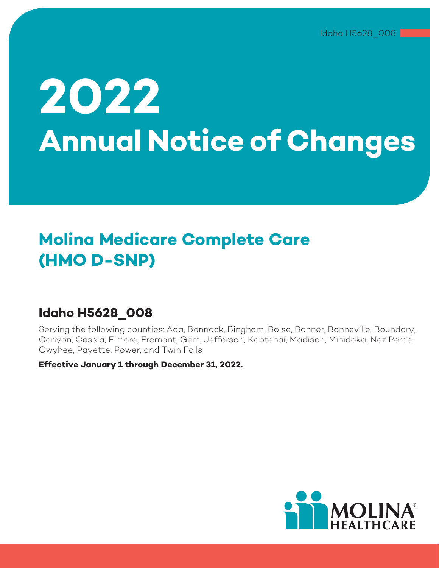# **2022 Annual Notice of Changes**

# **Molina Medicare Complete Care (HMO D-SNP)**

# **Idaho H5628\_008**

Serving the following counties: Ada, Bannock, Bingham, Boise, Bonner, Bonneville, Boundary, Canyon, Cassia, Elmore, Fremont, Gem, Jefferson, Kootenai, Madison, Minidoka, Nez Perce, Owyhee, Payette, Power, and Twin Falls

**Effective January 1 through December 31, 2022.** 

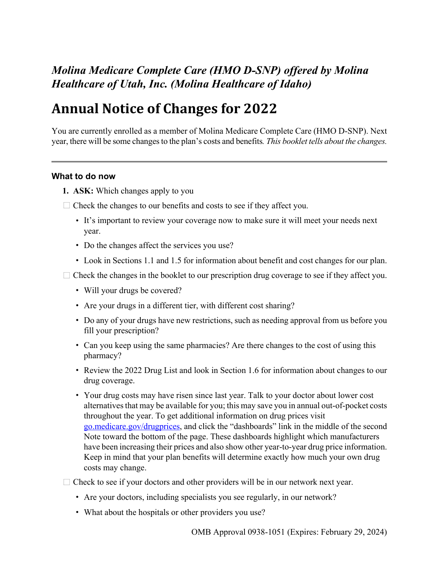# *Molina Medicare Complete Care (HMO D-SNP) offered by Molina Healthcare of Utah, Inc. (Molina Healthcare of Idaho)*

# **Annual Notice of Changes for 2022**

You are currently enrolled as a member of Molina Medicare Complete Care (HMO D-SNP). Next year, there will be some changes to the plan's costs and benefits*. This booklet tells about the changes.* 

#### **What to do now**

- **1. ASK:** Which changes apply to you
- $\Box$  Check the changes to our benefits and costs to see if they affect you.
	- 1 It's important to review your coverage now to make sure it will meet your needs next year.
	- Do the changes affect the services you use?
	- 1 Look in Sections [1.1](#page-8-0) and [1.5 f](#page-9-0)or information about benefit and cost changes for our plan.
- $\Box$  Check the changes in the booklet to our prescription drug coverage to see if they affect you.
	- Will your drugs be covered?
	- Are your drugs in a different tier, with different cost sharing?
	- Do any of your drugs have new restrictions, such as needing approval from us before you fill your prescription?
	- Can you keep using the same pharmacies? Are there changes to the cost of using this pharmacy?
	- Review the 2022 Drug List and look in Section [1.6](#page-10-0) for information about changes to our drug coverage.
	- 1 Your drug costs may have risen since last year. Talk to your doctor about lower cost alternatives that may be available for you; this may save you in annual out-of-pocket costs throughout the year. To get additional information on drug prices visit [go.medicare.gov/drugprices,](https://go.medicare.gov/drugprices) and click the "dashboards" link in the middle of the second Note toward the bottom of the page. These dashboards highlight which manufacturers have been increasing their prices and also show other year-to-year drug price information. Keep in mind that your plan benefits will determine exactly how much your own drug costs may change.
- $\Box$  Check to see if your doctors and other providers will be in our network next year.
	- Are your doctors, including specialists you see regularly, in our network?
	- What about the hospitals or other providers you use?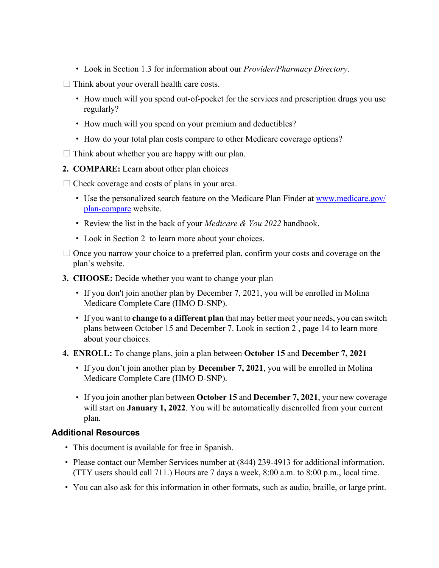- 1 Look in Section [1.3](#page-8-0) for information about our *Provider/Pharmacy Directory*.
- $\Box$  Think about your overall health care costs.
	- 1 How much will you spend out-of-pocket for the services and prescription drugs you use regularly?
	- How much will you spend on your premium and deductibles?
	- How do your total plan costs compare to other Medicare coverage options?
- $\Box$  Think about whether you are happy with our plan.
- **2. COMPARE:** Learn about other plan choices
- $\Box$  Check coverage and costs of plans in your area.
	- Use the personalized search feature on the Medicare Plan Finder at [www.medicare.gov/](http://www.medicare.gov/plan-compare) [plan-compare](http://www.medicare.gov/plan-compare) website.
	- 1 Review the list in the back of your *Medicare & You 2022* handbook.
	- Look in Section [2](#page-17-0) to learn more about your choices.
- $\Box$  Once you narrow your choice to a preferred plan, confirm your costs and coverage on the plan's website.
- **3. CHOOSE:** Decide whether you want to change your plan
	- If you don't join another plan by December 7, 2021, you will be enrolled in Molina Medicare Complete Care (HMO D-SNP).
	- 1 If you want to **change to a different plan** that may better meet your needs, you can switch plans between October 15 and December 7. Look in section [2](#page-17-0) , page 14 to learn more about your choices.
- **4. ENROLL:** To change plans, join a plan between **October 15** and **December 7, 2021**
	- 1 If you don't join another plan by **December 7, 2021**, you will be enrolled in Molina Medicare Complete Care (HMO D-SNP).
	- 1 If you join another plan between **October 15** and **December 7, 2021**, your new coverage will start on **January 1, 2022**. You will be automatically disenrolled from your current plan.

## **Additional Resources**

- This document is available for free in Spanish.
- Please contact our Member Services number at (844) 239-4913 for additional information. (TTY users should call 711.) Hours are 7 days a week, 8:00 a.m. to 8:00 p.m., local time.
- 1 You can also ask for this information in other formats, such as audio, braille, or large print.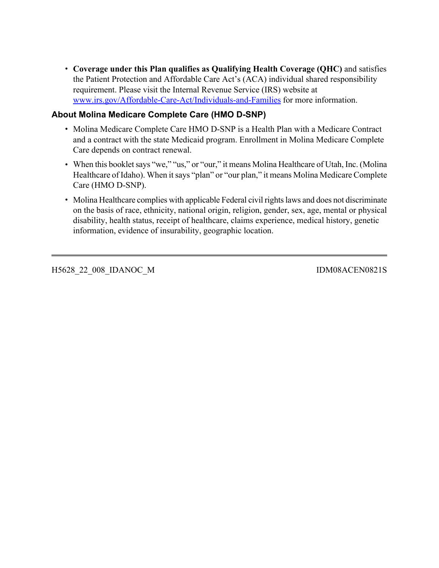1 **Coverage under this Plan qualifies as Qualifying Health Coverage (QHC)** and satisfies the Patient Protection and Affordable Care Act's (ACA) individual shared responsibility requirement. Please visit the Internal Revenue Service (IRS) website at [www.irs.gov/Affordable-Care-Act/Individuals-and-Families](https://www.irs.gov/affordable-care-act/individuals-and-families) for more information.

## **About Molina Medicare Complete Care (HMO D-SNP)**

- Molina Medicare Complete Care HMO D-SNP is a Health Plan with a Medicare Contract and a contract with the state Medicaid program. Enrollment in Molina Medicare Complete Care depends on contract renewal.
- When this booklet says "we," "us," or "our," it means Molina Healthcare of Utah, Inc. (Molina Healthcare of Idaho). When it says "plan" or "our plan," it means Molina Medicare Complete Care (HMO D-SNP).
- Molina Healthcare complies with applicable Federal civil rights laws and does not discriminate on the basis of race, ethnicity, national origin, religion, gender, sex, age, mental or physical disability, health status, receipt of healthcare, claims experience, medical history, genetic information, evidence of insurability, geographic location.

H5628\_22\_008\_IDANOC\_M IDM08ACEN0821S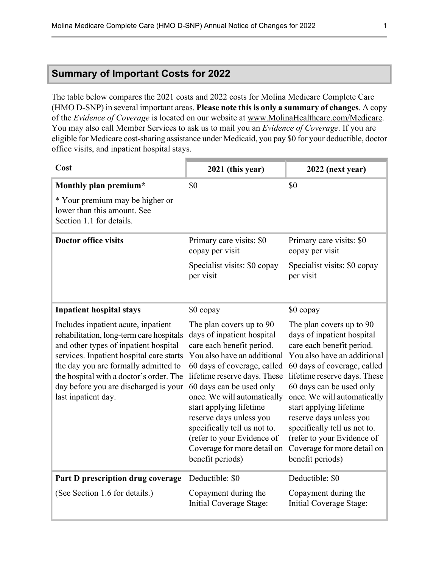# **Summary of Important Costs for 2022**

The table below compares the 2021 costs and 2022 costs for Molina Medicare Complete Care (HMO D-SNP) in several important areas. **Please note this is only a summary of changes**. A copy of the *Evidence of Coverage* is located on our website at [www.MolinaHealthcare.com/Medicare](http://www.molinahealthcare.com/Medicare). You may also call Member Services to ask us to mail you an *Evidence of Coverage*. If you are eligible for Medicare cost-sharing assistance under Medicaid, you pay \$0 for your deductible, doctor office visits, and inpatient hospital stays.

| Cost                                                                                                                                                                                                                                                                                                                    | 2021 (this year)                                                                                                                                                                                                                                                                                                                                                                                                    | 2022 (next year)                                                                                                                                                                                                                                                                                                                                                                                                    |
|-------------------------------------------------------------------------------------------------------------------------------------------------------------------------------------------------------------------------------------------------------------------------------------------------------------------------|---------------------------------------------------------------------------------------------------------------------------------------------------------------------------------------------------------------------------------------------------------------------------------------------------------------------------------------------------------------------------------------------------------------------|---------------------------------------------------------------------------------------------------------------------------------------------------------------------------------------------------------------------------------------------------------------------------------------------------------------------------------------------------------------------------------------------------------------------|
| Monthly plan premium*                                                                                                                                                                                                                                                                                                   | \$0                                                                                                                                                                                                                                                                                                                                                                                                                 | \$0                                                                                                                                                                                                                                                                                                                                                                                                                 |
| * Your premium may be higher or<br>lower than this amount. See<br>Section 1.1 for details.                                                                                                                                                                                                                              |                                                                                                                                                                                                                                                                                                                                                                                                                     |                                                                                                                                                                                                                                                                                                                                                                                                                     |
| <b>Doctor office visits</b>                                                                                                                                                                                                                                                                                             | Primary care visits: \$0<br>copay per visit                                                                                                                                                                                                                                                                                                                                                                         | Primary care visits: \$0<br>copay per visit                                                                                                                                                                                                                                                                                                                                                                         |
|                                                                                                                                                                                                                                                                                                                         | Specialist visits: \$0 copay<br>per visit                                                                                                                                                                                                                                                                                                                                                                           | Specialist visits: \$0 copay<br>per visit                                                                                                                                                                                                                                                                                                                                                                           |
| <b>Inpatient hospital stays</b>                                                                                                                                                                                                                                                                                         | \$0 copay                                                                                                                                                                                                                                                                                                                                                                                                           | \$0 copay                                                                                                                                                                                                                                                                                                                                                                                                           |
| Includes inpatient acute, inpatient<br>rehabilitation, long-term care hospitals<br>and other types of inpatient hospital<br>services. Inpatient hospital care starts<br>the day you are formally admitted to<br>the hospital with a doctor's order. The<br>day before you are discharged is your<br>last inpatient day. | The plan covers up to 90<br>days of inpatient hospital<br>care each benefit period.<br>You also have an additional<br>60 days of coverage, called<br>lifetime reserve days. These<br>60 days can be used only<br>once. We will automatically<br>start applying lifetime<br>reserve days unless you<br>specifically tell us not to.<br>(refer to your Evidence of<br>Coverage for more detail on<br>benefit periods) | The plan covers up to 90<br>days of inpatient hospital<br>care each benefit period.<br>You also have an additional<br>60 days of coverage, called<br>lifetime reserve days. These<br>60 days can be used only<br>once. We will automatically<br>start applying lifetime<br>reserve days unless you<br>specifically tell us not to.<br>(refer to your Evidence of<br>Coverage for more detail on<br>benefit periods) |
| Part D prescription drug coverage                                                                                                                                                                                                                                                                                       | Deductible: \$0                                                                                                                                                                                                                                                                                                                                                                                                     | Deductible: \$0                                                                                                                                                                                                                                                                                                                                                                                                     |
| (See Section 1.6 for details.)                                                                                                                                                                                                                                                                                          | Copayment during the<br>Initial Coverage Stage:                                                                                                                                                                                                                                                                                                                                                                     | Copayment during the<br>Initial Coverage Stage:                                                                                                                                                                                                                                                                                                                                                                     |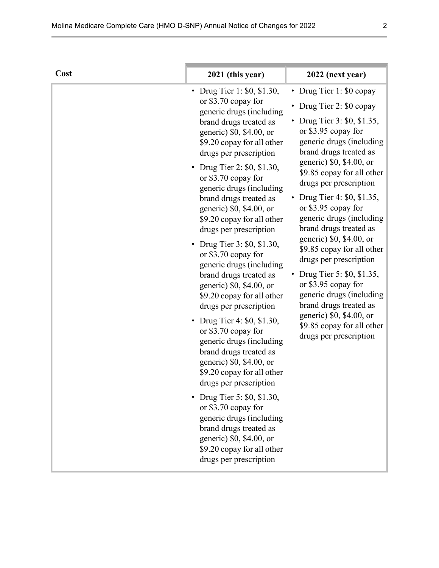| Cost | 2021 (this year)                                                                                                                                                                                                                                                                                                                                                                                                                                                                                                                                                                                                                                                                                                                                                                                                                                                                                                                                                                                               | 2022 (next year)                                                                                                                                                                                                                                                                                                                                                                                                                                                                                                                                                                                                                                 |
|------|----------------------------------------------------------------------------------------------------------------------------------------------------------------------------------------------------------------------------------------------------------------------------------------------------------------------------------------------------------------------------------------------------------------------------------------------------------------------------------------------------------------------------------------------------------------------------------------------------------------------------------------------------------------------------------------------------------------------------------------------------------------------------------------------------------------------------------------------------------------------------------------------------------------------------------------------------------------------------------------------------------------|--------------------------------------------------------------------------------------------------------------------------------------------------------------------------------------------------------------------------------------------------------------------------------------------------------------------------------------------------------------------------------------------------------------------------------------------------------------------------------------------------------------------------------------------------------------------------------------------------------------------------------------------------|
|      | Drug Tier 1: \$0, \$1.30,<br>$\bullet$<br>or \$3.70 copay for<br>generic drugs (including<br>brand drugs treated as<br>generic) \$0, \$4.00, or<br>\$9.20 copay for all other<br>drugs per prescription<br>Drug Tier 2: \$0, \$1.30,<br>$\bullet$<br>or \$3.70 copay for<br>generic drugs (including<br>brand drugs treated as<br>generic) \$0, \$4.00, or<br>\$9.20 copay for all other<br>drugs per prescription<br>Drug Tier 3: \$0, \$1.30,<br>or \$3.70 copay for<br>generic drugs (including<br>brand drugs treated as<br>generic) \$0, \$4.00, or<br>\$9.20 copay for all other<br>drugs per prescription<br>• Drug Tier 4: \$0, \$1.30,<br>or \$3.70 copay for<br>generic drugs (including<br>brand drugs treated as<br>generic) \$0, \$4.00, or<br>\$9.20 copay for all other<br>drugs per prescription<br>Drug Tier 5: \$0, \$1.30,<br>or \$3.70 copay for<br>generic drugs (including<br>brand drugs treated as<br>generic) \$0, \$4.00, or<br>\$9.20 copay for all other<br>drugs per prescription | • Drug Tier 1: \$0 copay<br>• Drug Tier 2: \$0 copay<br>• Drug Tier 3: \$0, \$1.35,<br>or \$3.95 copay for<br>generic drugs (including<br>brand drugs treated as<br>generic) \$0, \$4.00, or<br>\$9.85 copay for all other<br>drugs per prescription<br>Drug Tier 4: \$0, \$1.35,<br>or \$3.95 copay for<br>generic drugs (including<br>brand drugs treated as<br>generic) \$0, \$4.00, or<br>\$9.85 copay for all other<br>drugs per prescription<br>Drug Tier 5: \$0, \$1.35,<br>or \$3.95 copay for<br>generic drugs (including<br>brand drugs treated as<br>generic) \$0, \$4.00, or<br>\$9.85 copay for all other<br>drugs per prescription |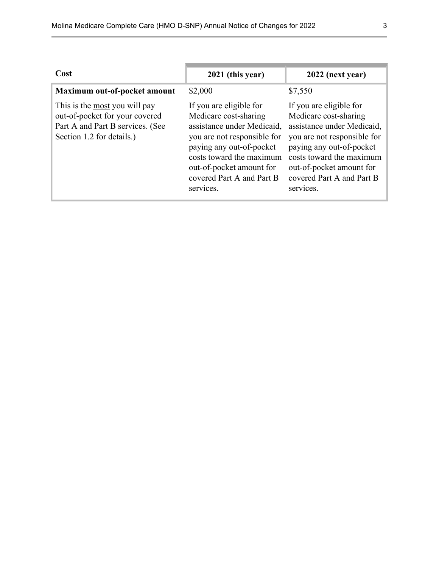| Cost                                                                                                                                    | 2021 (this year)                                                                                                                                                                                                                            | 2022 (next year)                                                                                                                                                                                                                            |
|-----------------------------------------------------------------------------------------------------------------------------------------|---------------------------------------------------------------------------------------------------------------------------------------------------------------------------------------------------------------------------------------------|---------------------------------------------------------------------------------------------------------------------------------------------------------------------------------------------------------------------------------------------|
| Maximum out-of-pocket amount                                                                                                            | \$2,000                                                                                                                                                                                                                                     | \$7,550                                                                                                                                                                                                                                     |
| This is the <u>most</u> you will pay<br>out-of-pocket for your covered<br>Part A and Part B services. (See<br>Section 1.2 for details.) | If you are eligible for<br>Medicare cost-sharing<br>assistance under Medicaid.<br>you are not responsible for<br>paying any out-of-pocket<br>costs toward the maximum<br>out-of-pocket amount for<br>covered Part A and Part B<br>services. | If you are eligible for<br>Medicare cost-sharing<br>assistance under Medicaid,<br>you are not responsible for<br>paying any out-of-pocket<br>costs toward the maximum<br>out-of-pocket amount for<br>covered Part A and Part B<br>services. |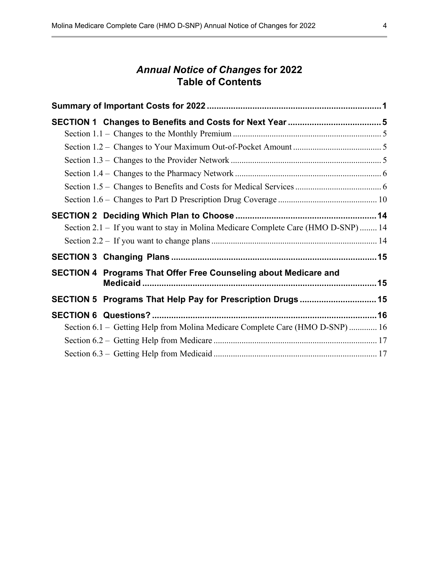# *Annual Notice of Changes* **for 2022 Table of Contents**

| Section 2.1 – If you want to stay in Molina Medicare Complete Care (HMO D-SNP)  14 |  |
|------------------------------------------------------------------------------------|--|
|                                                                                    |  |
|                                                                                    |  |
| SECTION 4 Programs That Offer Free Counseling about Medicare and                   |  |
|                                                                                    |  |
| SECTION 5 Programs That Help Pay for Prescription Drugs 15                         |  |
|                                                                                    |  |
| Section 6.1 - Getting Help from Molina Medicare Complete Care (HMO D-SNP) 16       |  |
|                                                                                    |  |
|                                                                                    |  |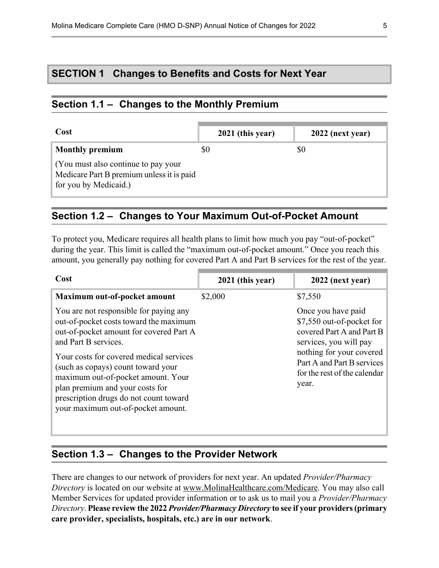# <span id="page-8-0"></span>**SECTION 1 Changes to Benefits and Costs for Next Year**

# **Section 1.1 – Changes to the Monthly Premium**

 $\overline{a}$ 

l

| Cost                                                                                                      |     | 2021 (this year) |     | 2022 (next year) |
|-----------------------------------------------------------------------------------------------------------|-----|------------------|-----|------------------|
| <b>Monthly premium</b>                                                                                    | \$0 |                  | \$0 |                  |
| (You must also continue to pay your<br>Medicare Part B premium unless it is paid<br>for you by Medicaid.) |     |                  |     |                  |

## **Section 1.2 – Changes to Your Maximum Out-of-Pocket Amount**

To protect you, Medicare requires all health plans to limit how much you pay "out-of-pocket" during the year. This limit is called the "maximum out-of-pocket amount." Once you reach this amount, you generally pay nothing for covered Part A and Part B services for the rest of the year.

| Cost                                                                                                                                                                                                                                 | 2021 (this year) | 2022 (next year)                                                                                                                                                 |
|--------------------------------------------------------------------------------------------------------------------------------------------------------------------------------------------------------------------------------------|------------------|------------------------------------------------------------------------------------------------------------------------------------------------------------------|
| Maximum out-of-pocket amount                                                                                                                                                                                                         | \$2,000          | \$7,550                                                                                                                                                          |
| You are not responsible for paying any<br>out-of-pocket costs toward the maximum<br>out-of-pocket amount for covered Part A<br>and Part B services.<br>Your costs for covered medical services<br>(such as copays) count toward your |                  | Once you have paid<br>\$7,550 out-of-pocket for<br>covered Part A and Part B<br>services, you will pay<br>nothing for your covered<br>Part A and Part B services |
| maximum out-of-pocket amount. Your<br>plan premium and your costs for<br>prescription drugs do not count toward<br>your maximum out-of-pocket amount.                                                                                |                  | for the rest of the calendar<br>year.                                                                                                                            |

# **Section 1.3 – Changes to the Provider Network**

There are changes to our network of providers for next year. An updated *Provider/Pharmacy Directory* is located on our website at [www.MolinaHealthcare.com/Medicare](http://www.molinahealthcare.com/Medicare). You may also call Member Services for updated provider information or to ask us to mail you a *Provider/Pharmacy Directory*. **Please review the 2022** *Provider/Pharmacy Directory* **to see if your providers (primary care provider, specialists, hospitals, etc.) are in our network**.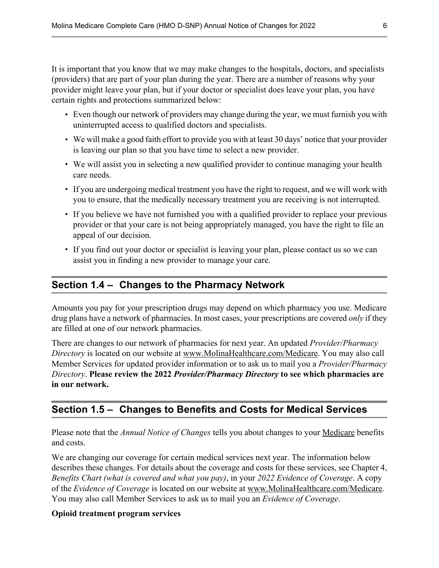<span id="page-9-0"></span>It is important that you know that we may make changes to the hospitals, doctors, and specialists (providers) that are part of your plan during the year. There are a number of reasons why your provider might leave your plan, but if your doctor or specialist does leave your plan, you have certain rights and protections summarized below:

- 1 Even though our network of providers may change during the year, we must furnish you with uninterrupted access to qualified doctors and specialists.
- 1 We will make a good faith effort to provide you with at least 30 days' notice that your provider is leaving our plan so that you have time to select a new provider.
- 1 We will assist you in selecting a new qualified provider to continue managing your health care needs.
- 1 If you are undergoing medical treatment you have the right to request, and we will work with you to ensure, that the medically necessary treatment you are receiving is not interrupted.
- If you believe we have not furnished you with a qualified provider to replace your previous provider or that your care is not being appropriately managed, you have the right to file an appeal of our decision.
- If you find out your doctor or specialist is leaving your plan, please contact us so we can assist you in finding a new provider to manage your care.

# **Section 1.4 – Changes to the Pharmacy Network**

Amounts you pay for your prescription drugs may depend on which pharmacy you use. Medicare drug plans have a network of pharmacies. In most cases, your prescriptions are covered *only* if they are filled at one of our network pharmacies.

There are changes to our network of pharmacies for next year. An updated *Provider/Pharmacy Directory* is located on our website at [www.MolinaHealthcare.com/Medicare](http://www.molinahealthcare.com/Medicare). You may also call Member Services for updated provider information or to ask us to mail you a *Provider/Pharmacy Directory*. **Please review the 2022** *Provider/Pharmacy Directory* **to see which pharmacies are in our network.** 

# **Section 1.5 – Changes to Benefits and Costs for Medical Services**

Please note that the *Annual Notice of Changes* tells you about changes to your Medicare benefits and costs.

We are changing our coverage for certain medical services next year. The information below describes these changes. For details about the coverage and costs for these services, see Chapter 4, *Benefits Chart (what is covered and what you pay)*, in your *2022 Evidence of Coverage*. A copy of the *Evidence of Coverage* is located on our website at [www.MolinaHealthcare.com/Medicare.](http://www.molinahealthcare.com/Medicare) You may also call Member Services to ask us to mail you an *Evidence of Coverage*.

#### **Opioid treatment program services**

l

l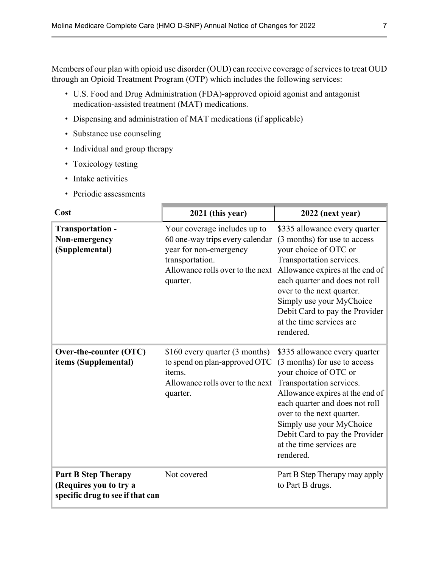<span id="page-10-0"></span>Members of our plan with opioid use disorder (OUD) can receive coverage of services to treat OUD through an Opioid Treatment Program (OTP) which includes the following services:

- 1 U.S. Food and Drug Administration (FDA)-approved opioid agonist and antagonist medication-assisted treatment (MAT) medications.
- Dispensing and administration of MAT medications (if applicable)
- Substance use counseling
- Individual and group therapy
- Toxicology testing
- Intake activities
- Periodic assessments

| Cost                                                                                     | 2021 (this year)                                                                                                                                             | 2022 (next year)                                                                                                                                                                                                                                                                                                            |
|------------------------------------------------------------------------------------------|--------------------------------------------------------------------------------------------------------------------------------------------------------------|-----------------------------------------------------------------------------------------------------------------------------------------------------------------------------------------------------------------------------------------------------------------------------------------------------------------------------|
| Transportation -<br>Non-emergency<br>(Supplemental)                                      | Your coverage includes up to<br>60 one-way trips every calendar<br>year for non-emergency<br>transportation.<br>Allowance rolls over to the next<br>quarter. | \$335 allowance every quarter<br>(3 months) for use to access<br>your choice of OTC or<br>Transportation services.<br>Allowance expires at the end of<br>each quarter and does not roll<br>over to the next quarter.<br>Simply use your MyChoice<br>Debit Card to pay the Provider<br>at the time services are<br>rendered. |
| Over-the-counter (OTC)<br>items (Supplemental)                                           | \$160 every quarter (3 months)<br>to spend on plan-approved OTC<br>items.<br>Allowance rolls over to the next<br>quarter.                                    | \$335 allowance every quarter<br>(3 months) for use to access<br>your choice of OTC or<br>Transportation services.<br>Allowance expires at the end of<br>each quarter and does not roll<br>over to the next quarter.<br>Simply use your MyChoice<br>Debit Card to pay the Provider<br>at the time services are<br>rendered. |
| <b>Part B Step Therapy</b><br>(Requires you to try a<br>specific drug to see if that can | Not covered                                                                                                                                                  | Part B Step Therapy may apply<br>to Part B drugs.                                                                                                                                                                                                                                                                           |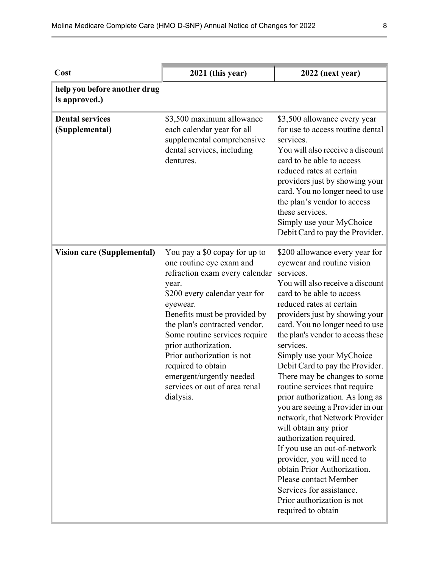| Cost                                          | 2021 (this year)                                                                                                                                                                                                                                                                                                                                                                                          | 2022 (next year)                                                                                                                                                                                                                                                                                                                                                                                                                                                                                                                                                                                                                                                                                                                                                                                 |
|-----------------------------------------------|-----------------------------------------------------------------------------------------------------------------------------------------------------------------------------------------------------------------------------------------------------------------------------------------------------------------------------------------------------------------------------------------------------------|--------------------------------------------------------------------------------------------------------------------------------------------------------------------------------------------------------------------------------------------------------------------------------------------------------------------------------------------------------------------------------------------------------------------------------------------------------------------------------------------------------------------------------------------------------------------------------------------------------------------------------------------------------------------------------------------------------------------------------------------------------------------------------------------------|
| help you before another drug<br>is approved.) |                                                                                                                                                                                                                                                                                                                                                                                                           |                                                                                                                                                                                                                                                                                                                                                                                                                                                                                                                                                                                                                                                                                                                                                                                                  |
| <b>Dental services</b><br>(Supplemental)      | \$3,500 maximum allowance<br>each calendar year for all<br>supplemental comprehensive<br>dental services, including<br>dentures.                                                                                                                                                                                                                                                                          | \$3,500 allowance every year<br>for use to access routine dental<br>services.<br>You will also receive a discount<br>card to be able to access<br>reduced rates at certain<br>providers just by showing your<br>card. You no longer need to use<br>the plan's vendor to access<br>these services.<br>Simply use your MyChoice<br>Debit Card to pay the Provider.                                                                                                                                                                                                                                                                                                                                                                                                                                 |
| <b>Vision care (Supplemental)</b>             | You pay a \$0 copay for up to<br>one routine eye exam and<br>refraction exam every calendar<br>year.<br>\$200 every calendar year for<br>eyewear.<br>Benefits must be provided by<br>the plan's contracted vendor.<br>Some routine services require<br>prior authorization.<br>Prior authorization is not<br>required to obtain<br>emergent/urgently needed<br>services or out of area renal<br>dialysis. | \$200 allowance every year for<br>eyewear and routine vision<br>services.<br>You will also receive a discount<br>card to be able to access<br>reduced rates at certain<br>providers just by showing your<br>card. You no longer need to use<br>the plan's vendor to access these<br>services.<br>Simply use your MyChoice<br>Debit Card to pay the Provider.<br>There may be changes to some<br>routine services that require<br>prior authorization. As long as<br>you are seeing a Provider in our<br>network, that Network Provider<br>will obtain any prior<br>authorization required.<br>If you use an out-of-network<br>provider, you will need to<br>obtain Prior Authorization.<br>Please contact Member<br>Services for assistance.<br>Prior authorization is not<br>required to obtain |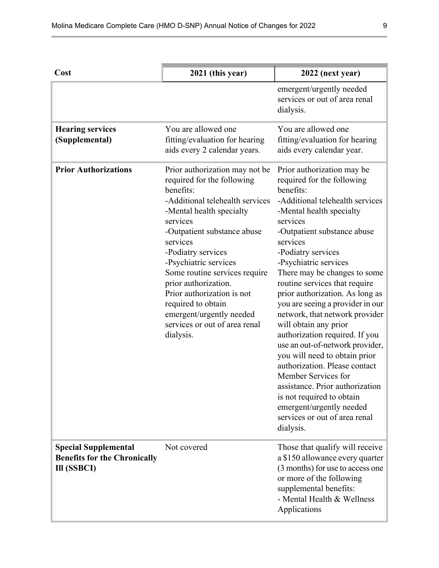| Cost                                                                              | 2021 (this year)                                                                                                                                                                                                                                                                                                                                                                                                                      | 2022 (next year)                                                                                                                                                                                                                                                                                                                                                                                                                                                                                                                                                                                                                                                                                                                                      |
|-----------------------------------------------------------------------------------|---------------------------------------------------------------------------------------------------------------------------------------------------------------------------------------------------------------------------------------------------------------------------------------------------------------------------------------------------------------------------------------------------------------------------------------|-------------------------------------------------------------------------------------------------------------------------------------------------------------------------------------------------------------------------------------------------------------------------------------------------------------------------------------------------------------------------------------------------------------------------------------------------------------------------------------------------------------------------------------------------------------------------------------------------------------------------------------------------------------------------------------------------------------------------------------------------------|
|                                                                                   |                                                                                                                                                                                                                                                                                                                                                                                                                                       | emergent/urgently needed<br>services or out of area renal<br>dialysis.                                                                                                                                                                                                                                                                                                                                                                                                                                                                                                                                                                                                                                                                                |
| <b>Hearing services</b><br>(Supplemental)                                         | You are allowed one<br>fitting/evaluation for hearing<br>aids every 2 calendar years.                                                                                                                                                                                                                                                                                                                                                 | You are allowed one<br>fitting/evaluation for hearing<br>aids every calendar year.                                                                                                                                                                                                                                                                                                                                                                                                                                                                                                                                                                                                                                                                    |
| <b>Prior Authorizations</b>                                                       | Prior authorization may not be<br>required for the following<br>benefits:<br>-Additional telehealth services<br>-Mental health specialty<br>services<br>-Outpatient substance abuse<br>services<br>-Podiatry services<br>-Psychiatric services<br>Some routine services require<br>prior authorization.<br>Prior authorization is not<br>required to obtain<br>emergent/urgently needed<br>services or out of area renal<br>dialysis. | Prior authorization may be<br>required for the following<br>benefits:<br>-Additional telehealth services<br>-Mental health specialty<br>services<br>-Outpatient substance abuse<br>services<br>-Podiatry services<br>-Psychiatric services<br>There may be changes to some<br>routine services that require<br>prior authorization. As long as<br>you are seeing a provider in our<br>network, that network provider<br>will obtain any prior<br>authorization required. If you<br>use an out-of-network provider,<br>you will need to obtain prior<br>authorization. Please contact<br>Member Services for<br>assistance. Prior authorization<br>is not required to obtain<br>emergent/urgently needed<br>services or out of area renal<br>dialysis. |
| <b>Special Supplemental</b><br><b>Benefits for the Chronically</b><br>Ill (SSBCI) | Not covered                                                                                                                                                                                                                                                                                                                                                                                                                           | Those that qualify will receive<br>a \$150 allowance every quarter<br>(3 months) for use to access one<br>or more of the following<br>supplemental benefits:<br>- Mental Health & Wellness<br>Applications                                                                                                                                                                                                                                                                                                                                                                                                                                                                                                                                            |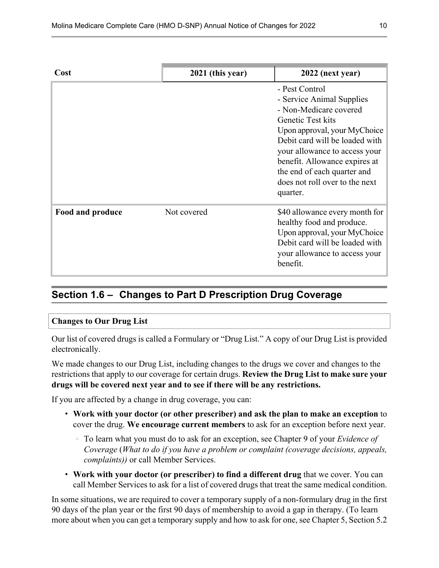<span id="page-13-0"></span>

| Cost             | 2021 (this year) | 2022 (next year)                                                                                                                                                                                                                                                                                            |
|------------------|------------------|-------------------------------------------------------------------------------------------------------------------------------------------------------------------------------------------------------------------------------------------------------------------------------------------------------------|
|                  |                  | - Pest Control<br>- Service Animal Supplies<br>- Non-Medicare covered<br>Genetic Test kits<br>Upon approval, your MyChoice<br>Debit card will be loaded with<br>your allowance to access your<br>benefit. Allowance expires at<br>the end of each quarter and<br>does not roll over to the next<br>quarter. |
| Food and produce | Not covered      | \$40 allowance every month for<br>healthy food and produce.<br>Upon approval, your MyChoice<br>Debit card will be loaded with<br>your allowance to access your<br>benefit.                                                                                                                                  |

# **Section 1.6 – Changes to Part D Prescription Drug Coverage**

#### **Changes to Our Drug List**

l

Our list of covered drugs is called a Formulary or "Drug List." A copy of our Drug List is provided electronically.

We made changes to our Drug List, including changes to the drugs we cover and changes to the restrictions that apply to our coverage for certain drugs. **Review the Drug List to make sure your drugs will be covered next year and to see if there will be any restrictions.** 

If you are affected by a change in drug coverage, you can:

- 1 **Work with your doctor (or other prescriber) and ask the plan to make an exception** to cover the drug. **We encourage current members** to ask for an exception before next year.
	- 4 To learn what you must do to ask for an exception, see Chapter 9 of your *Evidence of Coverage* (*What to do if you have a problem or complaint (coverage decisions, appeals, complaints))* or call Member Services.
- 1 **Work with your doctor (or prescriber) to find a different drug** that we cover. You can call Member Services to ask for a list of covered drugs that treat the same medical condition.

In some situations, we are required to cover a temporary supply of a non-formulary drug in the first 90 days of the plan year or the first 90 days of membership to avoid a gap in therapy. (To learn more about when you can get a temporary supply and how to ask for one, see Chapter 5, Section 5.2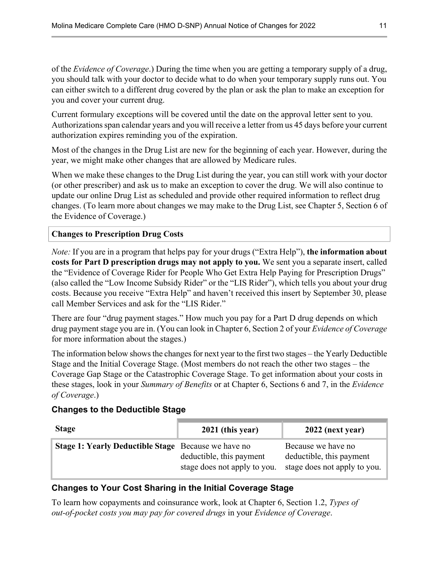of the *Evidence of Coverage*.) During the time when you are getting a temporary supply of a drug, you should talk with your doctor to decide what to do when your temporary supply runs out. You can either switch to a different drug covered by the plan or ask the plan to make an exception for you and cover your current drug.

Current formulary exceptions will be covered until the date on the approval letter sent to you. Authorizations span calendar years and you will receive a letter from us 45 days before your current authorization expires reminding you of the expiration.

Most of the changes in the Drug List are new for the beginning of each year. However, during the year, we might make other changes that are allowed by Medicare rules.

When we make these changes to the Drug List during the year, you can still work with your doctor (or other prescriber) and ask us to make an exception to cover the drug. We will also continue to update our online Drug List as scheduled and provide other required information to reflect drug changes. (To learn more about changes we may make to the Drug List, see Chapter 5, Section 6 of the Evidence of Coverage.)

**Changes to Prescription Drug Costs** 

*Note:* If you are in a program that helps pay for your drugs ("Extra Help"), **the information about costs for Part D prescription drugs may not apply to you.** We sent you a separate insert, called the "Evidence of Coverage Rider for People Who Get Extra Help Paying for Prescription Drugs" (also called the "Low Income Subsidy Rider" or the "LIS Rider"), which tells you about your drug costs. Because you receive "Extra Help" and haven't received this insert by September 30, please call Member Services and ask for the "LIS Rider."

There are four "drug payment stages." How much you pay for a Part D drug depends on which drug payment stage you are in. (You can look in Chapter 6, Section 2 of your *Evidence of Coverage*  for more information about the stages.)

The information below shows the changes for next year to the first two stages – the Yearly Deductible Stage and the Initial Coverage Stage. (Most members do not reach the other two stages – the Coverage Gap Stage or the Catastrophic Coverage Stage. To get information about your costs in these stages, look in your *Summary of Benefits* or at Chapter 6, Sections 6 and 7, in the *Evidence of Coverage*.)

#### **Changes to the Deductible Stage**

| <b>Stage</b>                                               | $2021$ (this year)                                       | 2022 (next year)                                                               |
|------------------------------------------------------------|----------------------------------------------------------|--------------------------------------------------------------------------------|
| <b>Stage 1: Yearly Deductible Stage</b> Because we have no | deductible, this payment<br>stage does not apply to you. | Because we have no<br>deductible, this payment<br>stage does not apply to you. |

#### **Changes to Your Cost Sharing in the Initial Coverage Stage**

To learn how copayments and coinsurance work, look at Chapter 6, Section 1.2, *Types of out-of-pocket costs you may pay for covered drugs* in your *Evidence of Coverage*.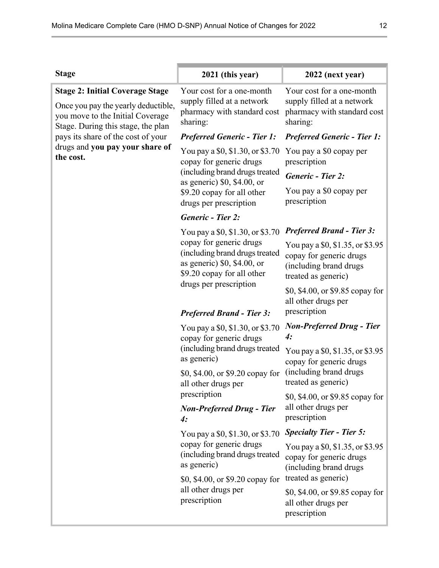| <b>Stage 2: Initial Coverage Stage</b><br>Once you pay the yearly deductible,<br>you move to the Initial Coverage<br>Stage. During this stage, the plan<br>pays its share of the cost of your<br>drugs and you pay your share of | Your cost for a one-month<br>supply filled at a network<br>pharmacy with standard cost<br>sharing:<br><b>Preferred Generic - Tier 1:</b>                                 | Your cost for a one-month<br>supply filled at a network<br>pharmacy with standard cost<br>sharing:            |
|----------------------------------------------------------------------------------------------------------------------------------------------------------------------------------------------------------------------------------|--------------------------------------------------------------------------------------------------------------------------------------------------------------------------|---------------------------------------------------------------------------------------------------------------|
|                                                                                                                                                                                                                                  |                                                                                                                                                                          |                                                                                                               |
|                                                                                                                                                                                                                                  |                                                                                                                                                                          | <b>Preferred Generic - Tier 1:</b>                                                                            |
| the cost.                                                                                                                                                                                                                        | You pay a \$0, \$1.30, or \$3.70<br>copay for generic drugs<br>prescription<br>(including brand drugs treated<br><b>Generic - Tier 2:</b><br>as generic) $$0, $4.00,$ or | You pay a \$0 copay per                                                                                       |
|                                                                                                                                                                                                                                  |                                                                                                                                                                          |                                                                                                               |
|                                                                                                                                                                                                                                  | \$9.20 copay for all other<br>drugs per prescription                                                                                                                     | You pay a \$0 copay per<br>prescription                                                                       |
|                                                                                                                                                                                                                                  | <b>Generic - Tier 2:</b>                                                                                                                                                 |                                                                                                               |
|                                                                                                                                                                                                                                  | You pay a \$0, \$1.30, or \$3.70                                                                                                                                         | <b>Preferred Brand - Tier 3:</b>                                                                              |
|                                                                                                                                                                                                                                  | copay for generic drugs<br>(including brand drugs treated<br>as generic) $$0, $4.00,$ or<br>\$9.20 copay for all other                                                   | You pay a \$0, \$1.35, or \$3.95<br>copay for generic drugs<br>(including brand drugs)<br>treated as generic) |
|                                                                                                                                                                                                                                  | drugs per prescription<br><b>Preferred Brand - Tier 3:</b>                                                                                                               | \$0, \$4.00, or \$9.85 copay for<br>all other drugs per<br>prescription                                       |
|                                                                                                                                                                                                                                  | You pay a \$0, \$1.30, or \$3.70                                                                                                                                         | <b>Non-Preferred Drug - Tier</b>                                                                              |
|                                                                                                                                                                                                                                  | copay for generic drugs                                                                                                                                                  | 4:                                                                                                            |
|                                                                                                                                                                                                                                  | (including brand drugs treated<br>as generic)                                                                                                                            | You pay a \$0, \$1.35, or \$3.95<br>copay for generic drugs                                                   |
|                                                                                                                                                                                                                                  | \$0, \$4.00, or \$9.20 copay for<br>all other drugs per                                                                                                                  | (including brand drugs)<br>treated as generic)                                                                |
|                                                                                                                                                                                                                                  | prescription                                                                                                                                                             | \$0, \$4.00, or \$9.85 copay for<br>all other drugs per                                                       |
| 4:                                                                                                                                                                                                                               | <b>Non-Preferred Drug - Tier</b>                                                                                                                                         | prescription                                                                                                  |
|                                                                                                                                                                                                                                  | You pay a \$0, \$1.30, or \$3.70                                                                                                                                         | <b>Specialty Tier - Tier 5:</b>                                                                               |
|                                                                                                                                                                                                                                  | copay for generic drugs<br>(including brand drugs treated<br>as generic)                                                                                                 | You pay a \$0, \$1.35, or \$3.95<br>copay for generic drugs<br>(including brand drugs)                        |
|                                                                                                                                                                                                                                  | \$0, \$4.00, or \$9.20 copay for                                                                                                                                         | treated as generic)                                                                                           |
|                                                                                                                                                                                                                                  | all other drugs per<br>prescription                                                                                                                                      | \$0, \$4.00, or \$9.85 copay for<br>all other drugs per<br>prescription                                       |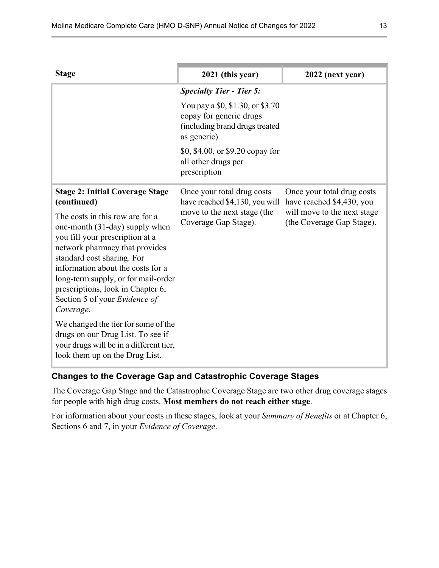| <b>Stage</b>                                                                                                                                                                                                                                                                                                                                                                                                                                                                                                                                          | 2021 (this year)                                                                                                    | 2022 (next year)                                                                                                    |
|-------------------------------------------------------------------------------------------------------------------------------------------------------------------------------------------------------------------------------------------------------------------------------------------------------------------------------------------------------------------------------------------------------------------------------------------------------------------------------------------------------------------------------------------------------|---------------------------------------------------------------------------------------------------------------------|---------------------------------------------------------------------------------------------------------------------|
|                                                                                                                                                                                                                                                                                                                                                                                                                                                                                                                                                       | <b>Specialty Tier - Tier 5:</b>                                                                                     |                                                                                                                     |
|                                                                                                                                                                                                                                                                                                                                                                                                                                                                                                                                                       | You pay a \$0, \$1.30, or \$3.70<br>copay for generic drugs<br>(including brand drugs treated<br>as generic)        |                                                                                                                     |
|                                                                                                                                                                                                                                                                                                                                                                                                                                                                                                                                                       | \$0, \$4.00, or \$9.20 copay for<br>all other drugs per<br>prescription                                             |                                                                                                                     |
| <b>Stage 2: Initial Coverage Stage</b><br>(continued)<br>The costs in this row are for a<br>one-month (31-day) supply when<br>you fill your prescription at a<br>network pharmacy that provides<br>standard cost sharing. For<br>information about the costs for a<br>long-term supply, or for mail-order<br>prescriptions, look in Chapter 6,<br>Section 5 of your Evidence of<br>Coverage.<br>We changed the tier for some of the<br>drugs on our Drug List. To see if<br>your drugs will be in a different tier,<br>look them up on the Drug List. | Once your total drug costs<br>have reached \$4,130, you will<br>move to the next stage (the<br>Coverage Gap Stage). | Once your total drug costs<br>have reached \$4,430, you<br>will move to the next stage<br>(the Coverage Gap Stage). |

#### **Changes to the Coverage Gap and Catastrophic Coverage Stages**

The Coverage Gap Stage and the Catastrophic Coverage Stage are two other drug coverage stages for people with high drug costs. **Most members do not reach either stage**.

For information about your costs in these stages, look at your *Summary of Benefits* or at Chapter 6, Sections 6 and 7, in your *Evidence of Coverage*.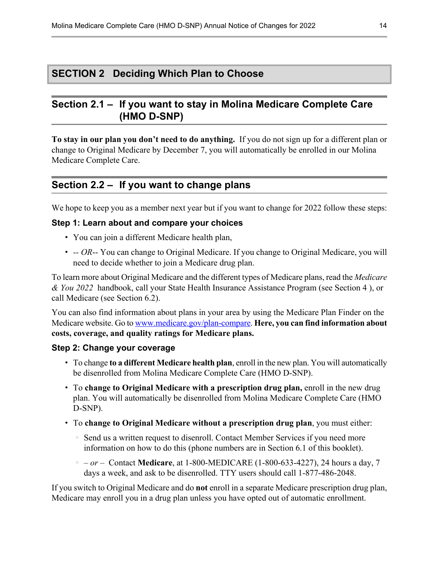# <span id="page-17-0"></span>**SECTION 2 Deciding Which Plan to Choose**

# **Section 2.1 – If you want to stay in Molina Medicare Complete Care (HMO D-SNP)**

**To stay in our plan you don't need to do anything.** If you do not sign up for a different plan or change to Original Medicare by December 7, you will automatically be enrolled in our Molina Medicare Complete Care.

# **Section 2.2 – If you want to change plans**

We hope to keep you as a member next year but if you want to change for 2022 follow these steps:

#### **Step 1: Learn about and compare your choices**

- 1 You can join a different Medicare health plan,
- 1 *-- OR*-- You can change to Original Medicare. If you change to Original Medicare, you will need to decide whether to join a Medicare drug plan.

To learn more about Original Medicare and the different types of Medicare plans, read the *Medicare & You 2022* handbook, call your State Health Insurance Assistance Program (see Section [4](#page-18-0) ), or call Medicare (see Section [6.2\)](#page-20-0).

You can also find information about plans in your area by using the Medicare Plan Finder on the Medicare website. Go to [www.medicare.gov/plan-compare.](http://www.medicare.gov/plan-compare) **Here, you can find information about costs, coverage, and quality ratings for Medicare plans.** 

#### **Step 2: Change your coverage**

l

- 1 To change **to a different Medicare health plan**, enroll in the new plan. You will automatically be disenrolled from Molina Medicare Complete Care (HMO D-SNP).
- 1 To **change to Original Medicare with a prescription drug plan,** enroll in the new drug plan. You will automatically be disenrolled from Molina Medicare Complete Care (HMO D-SNP).
- 1 To **change to Original Medicare without a prescription drug plan**, you must either:
	- ↑ Send us a written request to disenroll. Contact Member Services if you need more information on how to do this (phone numbers are in Section [6.1](#page-19-0) of this booklet).
	- 4  *or* Contact **Medicare**, at 1-800-MEDICARE (1-800-633-4227), 24 hours a day, 7 days a week, and ask to be disenrolled. TTY users should call 1-877-486-2048.

If you switch to Original Medicare and do **not** enroll in a separate Medicare prescription drug plan, Medicare may enroll you in a drug plan unless you have opted out of automatic enrollment.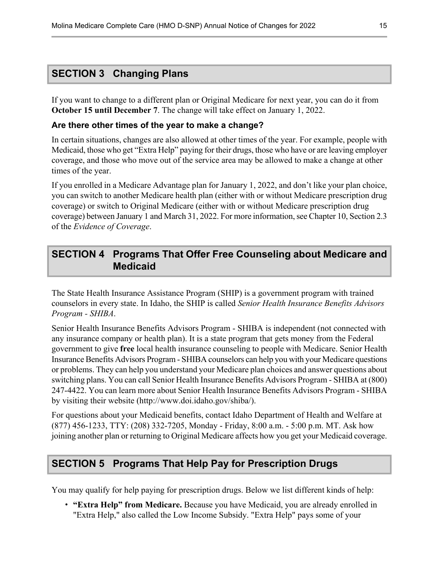# <span id="page-18-0"></span>**SECTION 3 Changing Plans**

If you want to change to a different plan or Original Medicare for next year, you can do it from **October 15 until December 7**. The change will take effect on January 1, 2022.

#### **Are there other times of the year to make a change?**

In certain situations, changes are also allowed at other times of the year. For example, people with Medicaid, those who get "Extra Help" paying for their drugs, those who have or are leaving employer coverage, and those who move out of the service area may be allowed to make a change at other times of the year.

If you enrolled in a Medicare Advantage plan for January 1, 2022, and don't like your plan choice, you can switch to another Medicare health plan (either with or without Medicare prescription drug coverage) or switch to Original Medicare (either with or without Medicare prescription drug coverage) between January 1 and March 31, 2022. For more information, see Chapter 10, Section 2.3 of the *Evidence of Coverage*.

# **SECTION 4 Programs That Offer Free Counseling about Medicare and Medicaid**

The State Health Insurance Assistance Program (SHIP) is a government program with trained counselors in every state. In Idaho, the SHIP is called *Senior Health Insurance Benefits Advisors Program - SHIBA*.

Senior Health Insurance Benefits Advisors Program - SHIBA is independent (not connected with any insurance company or health plan). It is a state program that gets money from the Federal government to give **free** local health insurance counseling to people with Medicare. Senior Health Insurance Benefits Advisors Program - SHIBA counselors can help you with your Medicare questions or problems. They can help you understand your Medicare plan choices and answer questions about switching plans. You can call Senior Health Insurance Benefits Advisors Program - SHIBA at (800) 247-4422. You can learn more about Senior Health Insurance Benefits Advisors Program - SHIBA by visiting their website (<http://www.doi.idaho.gov/shiba/>).

For questions about your Medicaid benefits, contact Idaho Department of Health and Welfare at (877) 456-1233, TTY: (208) 332-7205, Monday - Friday, 8:00 a.m. - 5:00 p.m. MT. Ask how joining another plan or returning to Original Medicare affects how you get your Medicaid coverage.

# **SECTION 5 Programs That Help Pay for Prescription Drugs**

You may qualify for help paying for prescription drugs. Below we list different kinds of help:

1 **"Extra Help" from Medicare.** Because you have Medicaid, you are already enrolled in "Extra Help," also called the Low Income Subsidy. "Extra Help" pays some of your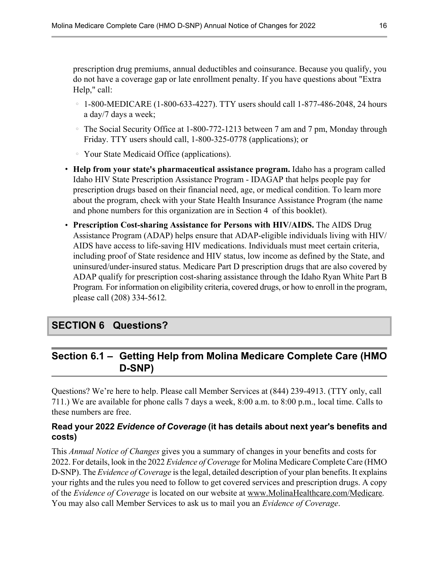<span id="page-19-0"></span>prescription drug premiums, annual deductibles and coinsurance. Because you qualify, you do not have a coverage gap or late enrollment penalty. If you have questions about "Extra Help," call:

- $\degree$  1-800-MEDICARE (1-800-633-4227). TTY users should call 1-877-486-2048, 24 hours a day/7 days a week;
- The Social Security Office at 1-800-772-1213 between 7 am and 7 pm, Monday through Friday. TTY users should call, 1-800-325-0778 (applications); or
- Your State Medicaid Office (applications).
- 1 **Help from your state's pharmaceutical assistance program.** Idaho has a program called Idaho HIV State Prescription Assistance Program - IDAGAP that helps people pay for prescription drugs based on their financial need, age, or medical condition. To learn more about the program, check with your State Health Insurance Assistance Program (the name and phone numbers for this organization are in Section [4](#page-18-0) of this booklet).
- 1 **Prescription Cost-sharing Assistance for Persons with HIV/AIDS.** The AIDS Drug Assistance Program (ADAP) helps ensure that ADAP-eligible individuals living with HIV/ AIDS have access to life-saving HIV medications. Individuals must meet certain criteria, including proof of State residence and HIV status, low income as defined by the State, and uninsured/under-insured status. Medicare Part D prescription drugs that are also covered by ADAP qualify for prescription cost-sharing assistance through the Idaho Ryan White Part B Program*.* For information on eligibility criteria, covered drugs, or how to enroll in the program, please call (208) 334-5612*.*

# **SECTION 6 Questions?**

# **Section 6.1 – Getting Help from Molina Medicare Complete Care (HMO D-SNP)**

Questions? We're here to help. Please call Member Services at (844) 239-4913. (TTY only, call 711.) We are available for phone calls 7 days a week, 8:00 a.m. to 8:00 p.m., local time. Calls to these numbers are free.

#### **Read your 2022** *Evidence of Coverage* **(it has details about next year's benefits and costs)**

This *Annual Notice of Changes* gives you a summary of changes in your benefits and costs for 2022. For details, look in the 2022 *Evidence of Coverage* for Molina Medicare Complete Care (HMO D-SNP). The *Evidence of Coverage* is the legal, detailed description of your plan benefits. It explains your rights and the rules you need to follow to get covered services and prescription drugs. A copy of the *Evidence of Coverage* is located on our website at [www.MolinaHealthcare.com/Medicare](http://www.MolinaHealthcare.com/Medicare). You may also call Member Services to ask us to mail you an *Evidence of Coverage*.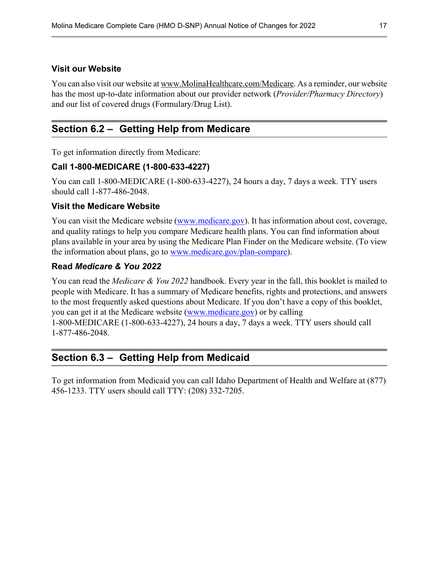#### <span id="page-20-0"></span>**Visit our Website**

l

l

You can also visit our website at [www.MolinaHealthcare.com/Medicare.](http://www.MolinaHealthcare.com/Medicare) As a reminder, our website has the most up-to-date information about our provider network (*Provider/Pharmacy Directory*) and our list of covered drugs (Formulary/Drug List).

# **Section 6.2 – Getting Help from Medicare**

To get information directly from Medicare:

#### **Call 1-800-MEDICARE (1-800-633-4227)**

You can call 1-800-MEDICARE (1-800-633-4227), 24 hours a day, 7 days a week. TTY users should call 1-877-486-2048.

#### **Visit the Medicare Website**

You can visit the Medicare website [\(www.medicare.gov](http://www.medicare.gov)). It has information about cost, coverage, and quality ratings to help you compare Medicare health plans. You can find information about plans available in your area by using the Medicare Plan Finder on the Medicare website. (To view the information about plans, go to [www.medicare.gov/plan-compare\)](http://www.medicare.gov/plan-compare).

#### **Read** *Medicare & You 2022*

You can read the *Medicare & You 2022* handbook. Every year in the fall, this booklet is mailed to people with Medicare. It has a summary of Medicare benefits, rights and protections, and answers to the most frequently asked questions about Medicare. If you don't have a copy of this booklet, you can get it at the Medicare website [\(www.medicare.gov\)](http://www.medicare.gov) or by calling 1-800-MEDICARE (1-800-633-4227), 24 hours a day, 7 days a week. TTY users should call 1-877-486-2048.

## **Section 6.3 – Getting Help from Medicaid**

To get information from Medicaid you can call Idaho Department of Health and Welfare at (877) 456-1233. TTY users should call TTY: (208) 332-7205.